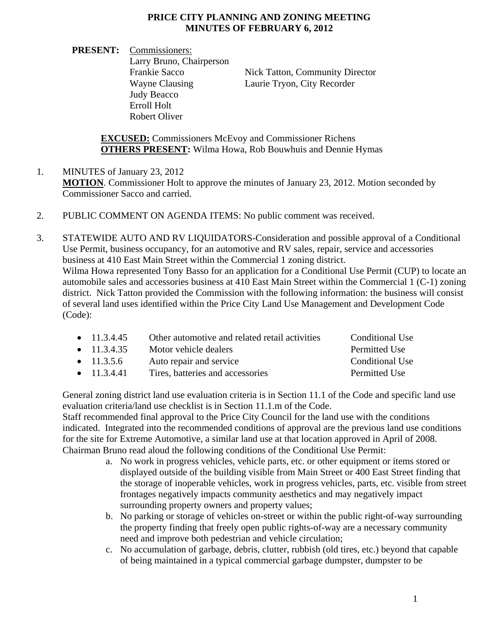## **PRICE CITY PLANNING AND ZONING MEETING MINUTES OF FEBRUARY 6, 2012**

**PRESENT:** Commissioners: Larry Bruno, Chairperson Judy Beacco Erroll Holt Robert Oliver

Frankie Sacco Nick Tatton, Community Director Wayne Clausing Laurie Tryon, City Recorder

**EXCUSED:** Commissioners McEvoy and Commissioner Richens **OTHERS PRESENT:** Wilma Howa, Rob Bouwhuis and Dennie Hymas

- 1. MINUTES of January 23, 2012 **MOTION**. Commissioner Holt to approve the minutes of January 23, 2012. Motion seconded by Commissioner Sacco and carried.
- 2. PUBLIC COMMENT ON AGENDA ITEMS: No public comment was received.

3. STATEWIDE AUTO AND RV LIQUIDATORS-Consideration and possible approval of a Conditional Use Permit, business occupancy, for an automotive and RV sales, repair, service and accessories business at 410 East Main Street within the Commercial 1 zoning district. Wilma Howa represented Tony Basso for an application for a Conditional Use Permit (CUP) to locate an

automobile sales and accessories business at 410 East Main Street within the Commercial 1 (C-1) zoning district. Nick Tatton provided the Commission with the following information: the business will consist of several land uses identified within the Price City Land Use Management and Development Code (Code):

| $\bullet$ 11.3.4.45 | Other automotive and related retail activities | Conditional Use |
|---------------------|------------------------------------------------|-----------------|
| $\bullet$ 11.3.4.35 | Motor vehicle dealers                          | Permitted Use   |
| • $11.3.5.6$        | Auto repair and service                        | Conditional Use |
| $\bullet$ 11.3.4.41 | Tires, batteries and accessories               | Permitted Use   |

General zoning district land use evaluation criteria is in Section 11.1 of the Code and specific land use evaluation criteria/land use checklist is in Section 11.1.m of the Code.

Staff recommended final approval to the Price City Council for the land use with the conditions indicated. Integrated into the recommended conditions of approval are the previous land use conditions for the site for Extreme Automotive, a similar land use at that location approved in April of 2008. Chairman Bruno read aloud the following conditions of the Conditional Use Permit:

- a. No work in progress vehicles, vehicle parts, etc. or other equipment or items stored or displayed outside of the building visible from Main Street or 400 East Street finding that the storage of inoperable vehicles, work in progress vehicles, parts, etc. visible from street frontages negatively impacts community aesthetics and may negatively impact surrounding property owners and property values;
- b. No parking or storage of vehicles on-street or within the public right-of-way surrounding the property finding that freely open public rights-of-way are a necessary community need and improve both pedestrian and vehicle circulation;
- c. No accumulation of garbage, debris, clutter, rubbish (old tires, etc.) beyond that capable of being maintained in a typical commercial garbage dumpster, dumpster to be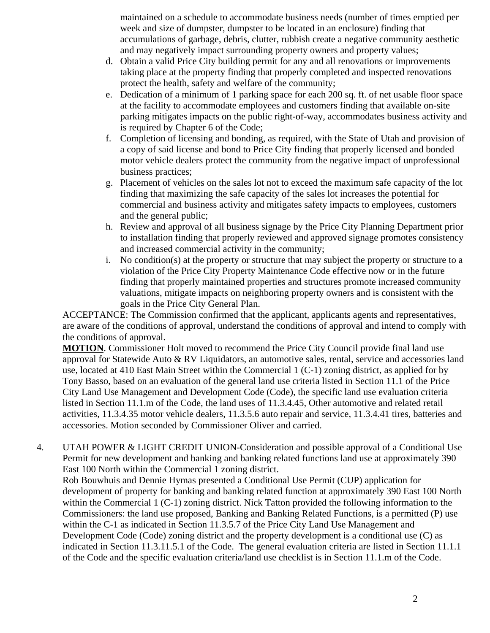maintained on a schedule to accommodate business needs (number of times emptied per week and size of dumpster, dumpster to be located in an enclosure) finding that accumulations of garbage, debris, clutter, rubbish create a negative community aesthetic and may negatively impact surrounding property owners and property values;

- d. Obtain a valid Price City building permit for any and all renovations or improvements taking place at the property finding that properly completed and inspected renovations protect the health, safety and welfare of the community;
- e. Dedication of a minimum of 1 parking space for each 200 sq. ft. of net usable floor space at the facility to accommodate employees and customers finding that available on-site parking mitigates impacts on the public right-of-way, accommodates business activity and is required by Chapter 6 of the Code;
- f. Completion of licensing and bonding, as required, with the State of Utah and provision of a copy of said license and bond to Price City finding that properly licensed and bonded motor vehicle dealers protect the community from the negative impact of unprofessional business practices;
- g. Placement of vehicles on the sales lot not to exceed the maximum safe capacity of the lot finding that maximizing the safe capacity of the sales lot increases the potential for commercial and business activity and mitigates safety impacts to employees, customers and the general public;
- h. Review and approval of all business signage by the Price City Planning Department prior to installation finding that properly reviewed and approved signage promotes consistency and increased commercial activity in the community;
- i. No condition(s) at the property or structure that may subject the property or structure to a violation of the Price City Property Maintenance Code effective now or in the future finding that properly maintained properties and structures promote increased community valuations, mitigate impacts on neighboring property owners and is consistent with the goals in the Price City General Plan.

ACCEPTANCE: The Commission confirmed that the applicant, applicants agents and representatives, are aware of the conditions of approval, understand the conditions of approval and intend to comply with the conditions of approval.

**MOTION**. Commissioner Holt moved to recommend the Price City Council provide final land use approval for Statewide Auto & RV Liquidators, an automotive sales, rental, service and accessories land use, located at 410 East Main Street within the Commercial 1 (C-1) zoning district, as applied for by Tony Basso, based on an evaluation of the general land use criteria listed in Section 11.1 of the Price City Land Use Management and Development Code (Code), the specific land use evaluation criteria listed in Section 11.1.m of the Code, the land uses of 11.3.4.45, Other automotive and related retail activities, 11.3.4.35 motor vehicle dealers, 11.3.5.6 auto repair and service, 11.3.4.41 tires, batteries and accessories. Motion seconded by Commissioner Oliver and carried.

4. UTAH POWER & LIGHT CREDIT UNION-Consideration and possible approval of a Conditional Use Permit for new development and banking and banking related functions land use at approximately 390 East 100 North within the Commercial 1 zoning district.

Rob Bouwhuis and Dennie Hymas presented a Conditional Use Permit (CUP) application for development of property for banking and banking related function at approximately 390 East 100 North within the Commercial 1 (C-1) zoning district. Nick Tatton provided the following information to the Commissioners: the land use proposed, Banking and Banking Related Functions, is a permitted (P) use within the C-1 as indicated in Section 11.3.5.7 of the Price City Land Use Management and Development Code (Code) zoning district and the property development is a conditional use (C) as indicated in Section 11.3.11.5.1 of the Code. The general evaluation criteria are listed in Section 11.1.1 of the Code and the specific evaluation criteria/land use checklist is in Section 11.1.m of the Code.